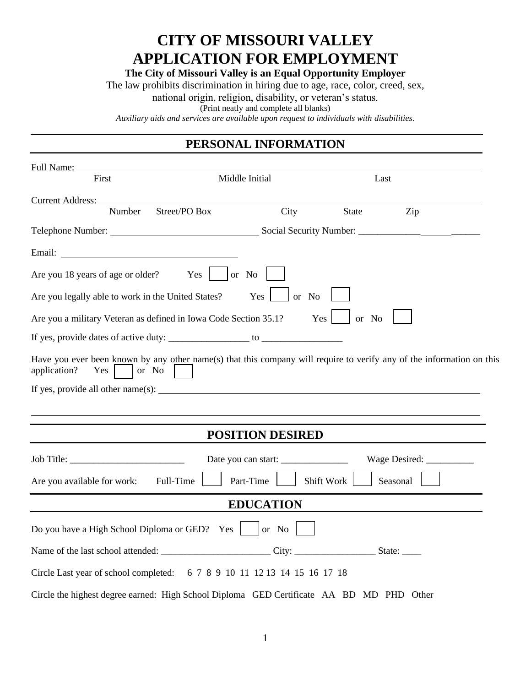## **CITY OF MISSOURI VALLEY APPLICATION FOR EMPLOYMENT**

**The City of Missouri Valley is an Equal Opportunity Employer**

The law prohibits discrimination in hiring due to age, race, color, creed, sex,

national origin, religion, disability, or veteran's status.

(Print neatly and complete all blanks)

*Auxiliary aids and services are available upon request to individuals with disabilities.*

## **PERSONAL INFORMATION**

| Full Name:                                                                                                                                                                                                                     |                         |              |               |
|--------------------------------------------------------------------------------------------------------------------------------------------------------------------------------------------------------------------------------|-------------------------|--------------|---------------|
| First                                                                                                                                                                                                                          | Middle Initial          | Last         |               |
| Current Address:<br>Street/PO Box<br>Number                                                                                                                                                                                    | City                    | <b>State</b> | Zip           |
|                                                                                                                                                                                                                                |                         |              |               |
| Email: The contract of the contract of the contract of the contract of the contract of the contract of the contract of the contract of the contract of the contract of the contract of the contract of the contract of the con |                         |              |               |
| Are you 18 years of age or older? Yes   or No                                                                                                                                                                                  |                         |              |               |
| Are you legally able to work in the United States?                                                                                                                                                                             | Yes                     | or No        |               |
| Are you a military Veteran as defined in Iowa Code Section 35.1?                                                                                                                                                               |                         | Yes<br>or No |               |
|                                                                                                                                                                                                                                |                         |              |               |
| Have you ever been known by any other name(s) that this company will require to verify any of the information on this<br>application?<br>$Yes \mid$<br>or No                                                                   |                         |              |               |
|                                                                                                                                                                                                                                |                         |              |               |
|                                                                                                                                                                                                                                |                         |              |               |
|                                                                                                                                                                                                                                | <b>POSITION DESIRED</b> |              |               |
| Job Title:                                                                                                                                                                                                                     | Date you can start:     |              | Wage Desired: |
| Full-Time<br>Are you available for work:                                                                                                                                                                                       | Part-Time               | Shift Work   | Seasonal      |
|                                                                                                                                                                                                                                | <b>EDUCATION</b>        |              |               |
| Do you have a High School Diploma or GED? Yes   or No                                                                                                                                                                          |                         |              |               |
|                                                                                                                                                                                                                                |                         |              |               |
| Circle Last year of school completed: 6 7 8 9 10 11 12 13 14 15 16 17 18                                                                                                                                                       |                         |              |               |
| Circle the highest degree earned: High School Diploma GED Certificate AA BD MD PHD Other                                                                                                                                       |                         |              |               |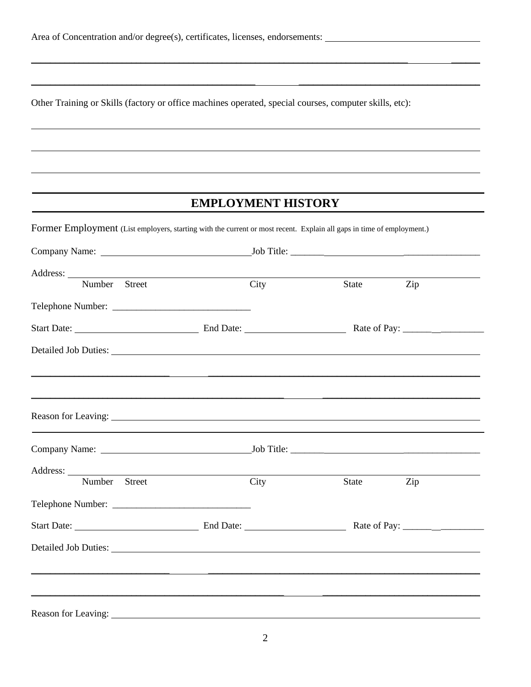Other Training or Skills (factory or office machines operated, special courses, computer skills, etc):

## **EMPLOYMENT HISTORY**

\_\_\_\_\_\_\_\_\_\_\_\_\_\_\_\_\_\_\_\_\_\_\_\_\_\_\_\_\_\_\_\_\_\_\_\_\_\_\_\_\_\_\_\_\_\_\_\_\_\_\_\_\_\_\_\_\_\_\_\_\_\_\_\_\_\_\_\_\_\_\_\_\_\_\_\_\_\_\_ \_\_\_\_\_\_

 $\_$  ,  $\_$  ,  $\_$  ,  $\_$  ,  $\_$  ,  $\_$  ,  $\_$  ,  $\_$  ,  $\_$  ,  $\_$  ,  $\_$  ,  $\_$  ,  $\_$  ,  $\_$  ,  $\_$  ,  $\_$  ,  $\_$  ,  $\_$  ,  $\_$ 

Former Employment (List employers, starting with the current or most recent. Explain all gaps in time of employment.)

| Address:<br>Number Street                                                                                                                                                                                                      | <u> 1989 - Johann Barn, amerikan besteman besteman besteman besteman besteman besteman besteman besteman bestema</u> | City | State | Zip |
|--------------------------------------------------------------------------------------------------------------------------------------------------------------------------------------------------------------------------------|----------------------------------------------------------------------------------------------------------------------|------|-------|-----|
|                                                                                                                                                                                                                                |                                                                                                                      |      |       |     |
|                                                                                                                                                                                                                                |                                                                                                                      |      |       |     |
| Detailed Job Duties: Note of the Contract of the Contract of the Contract of the Contract of the Contract of the Contract of the Contract of the Contract of the Contract of the Contract of the Contract of the Contract of t |                                                                                                                      |      |       |     |
|                                                                                                                                                                                                                                |                                                                                                                      |      |       |     |
|                                                                                                                                                                                                                                |                                                                                                                      |      |       |     |
|                                                                                                                                                                                                                                |                                                                                                                      |      |       |     |
| Address:                                                                                                                                                                                                                       |                                                                                                                      |      |       |     |
| Number Street                                                                                                                                                                                                                  |                                                                                                                      | City | State | Zip |
|                                                                                                                                                                                                                                |                                                                                                                      |      |       |     |
|                                                                                                                                                                                                                                | Start Date: <u>New York: End Date:</u> End Date: Rate of Pay: Nate of Pay:                                           |      |       |     |
|                                                                                                                                                                                                                                |                                                                                                                      |      |       |     |
|                                                                                                                                                                                                                                |                                                                                                                      |      |       |     |
|                                                                                                                                                                                                                                |                                                                                                                      |      |       |     |
| Reason for Leaving: 1988 and 2008 and 2008 and 2008 and 2008 and 2008 and 2008 and 2008 and 2008 and 2008 and 2008 and 2008 and 2008 and 2008 and 2008 and 2008 and 2008 and 2008 and 2008 and 2008 and 2008 and 2008 and 2008 |                                                                                                                      |      |       |     |